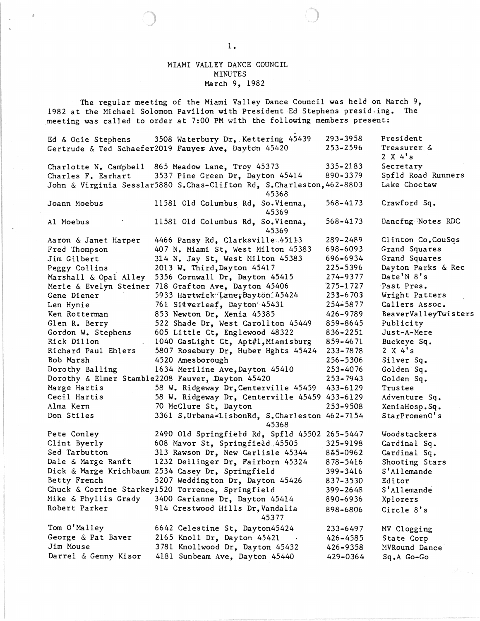## MIAMI VALLEY DANCE COUNCIL MINUTES March 9, 1982

The regular meeting of the Miami Valley Dance Council was held on March 9, 1982 at the Michael Solomon Pavilion with President Ed Stephens presid ing. The meeting was called to order at 7:00 PM with the following members present:

|                      | was believe to steps at the life on the station                                |              |                           |
|----------------------|--------------------------------------------------------------------------------|--------------|---------------------------|
| Ed & Ocie Stephens   | 3508 Waterbury Dr, Kettering 45439                                             | 293-3958     | President                 |
|                      | Gertrude & Ted Schaefer2019 Fauyer Ave, Dayton 45420                           | $253 - 2596$ | Treasurer $\&$<br>2 X 4's |
|                      | Charlotte N. Campbell 865 Meadow Lane, Troy 45373                              | $335 - 2183$ | Secretary                 |
|                      | Charles F. Earhart 3537 Pine Green Dr, Dayton 45414                            | 890-3379     | Spfld Road Runners        |
|                      | John & Virginia Sesslar5880 S.Chas-Clifton Rd, S.Charleston, 462-8803<br>45368 |              | Lake Choctaw              |
| Joann Moebus         | 11581 Old Columbus Rd, So.Vienna,<br>45369                                     | $568 - 4173$ | Crawford Sq.              |
| Al Moebus            | 11581 Old Columbus Rd, So.Vienna,<br>45369                                     | $568 - 4173$ | Dancfng Notes RDC         |
| Aaron & Janet Harper | 4466 Pansy Rd, Clarksville 45113                                               | 289-2489     | Clinton Co.CouSqs         |
| Fred Thompson        | 407 N. Miami St, West Milton 45383                                             | 698-6093     | Grand Squares             |
| Jim Gilbert          | 314 N. Jay St, West Milton 45383                                               | 696-6934     | Grand Squares             |
| Peggy Collins        | 2013 W. Third, Dayton 45417                                                    | 225-5396     | Dayton Parks & Rec        |
|                      | Marshall & Opal Alley 5356 Cornwall Dr, Dayton 45415                           | 274-9377     | Date'N 8's                |
|                      | Merle & Evelyn Steiner 718 Grafton Ave, Dayton 45406                           | $275 - 1727$ | Past Pres.                |
| Gene Diener          | 5933 Hartwick Lane, Dayton 45424                                               | $233 - 6703$ | Wright Patters            |
| Len Hynie            | 761 Sitverleaf, Dayton 45431                                                   | 254-5877     | Callers Assoc.            |
| Ken Rotterman        | 853 Newton Dr, Xenia 45385                                                     | 426-9789     | BeaverValleyTwisters      |
| Glen R. Berry        | 522 Shade Dr, West Carollton 45449                                             | 859-8645     | Publicity                 |
| Gordon W. Stephens   | 605 Little Ct, Englewood 48322                                                 | 836-2251     | Just-A-Mere               |
| Rick Dillon          | 1040 GasLight Ct, Apt#1, Miamisburg                                            | 859-4671     | Buckeye Sq.               |
| Richard Paul Ehlers  | 5807 Rosebury Dr, Huber Hghts 45424                                            | $233 - 7878$ | 2 X 4's                   |
| Bob Marsh            | 4520 Amesborough                                                               | 256-5306     | Silver Sq.                |
| Dorothy Balling      | 1634 Meriline Ave, Dayton 45410                                                | $253 - 4076$ | Golden Sq.                |
|                      | Dorothy & Elmer Stamble2208 Fauver, Dayton 45420                               | $253 - 7943$ | Golden Sq.                |
| Marge Hartis         | 58 W. Ridgeway Dr, Centerville 45459                                           | 433-6129     | Trustee                   |
| Cecil Hartis         | 58 W. Ridgeway Dr, Centerville 45459 433-6129                                  |              | Adventure Sq.             |
| Alma Kern            | 70 McClure St, Dayton                                                          | 253-9508     | XeniaHosp.Sq.             |
| Don Stiles           | 3361 S.Urbana-LisbonRd, S.Charleston 462-7154<br>45368                         |              | StarPromenO's             |
| Pete Conley          | 2490 Old Springfield Rd, Spfld 45502 265-5447                                  |              | Woodstackers              |
| Clint Byerly         | 608 Mavor St, Springfield, 45505                                               | 325-9198     | Cardinal Sq.              |
| Sed Tarbutton        | 313 Rawson Dr, New Carlisle 45344                                              | 845-0962     | Cardinal Sq.              |
| Dale & Marge Ranft   | 1232 Dellinger Dr, Fairborn 45324                                              | 878-5416     | Shooting Stars            |
|                      | Dick & Marge Krichbaum 2534 Casey Dr, Springfield                              | 399-3416     | S'Allemande               |
| Betty French         | 5207 Weddington Dr, Dayton 45426                                               | 837-3530     | Editor                    |
|                      | Chuck & Corrine Starkey1520 Torrence, Springfield                              | 399-2648     | S'Allemande               |
| Mike & Phyllis Grady | 3400 Garianne Dr, Dayton 45414                                                 | 890-6936     | Xplorers                  |
| Robert Parker        | 914 Crestwood Hills Dr, Vandalia<br>45377                                      | 898-6806     | Circle 8's                |
| Tom O'Malley         | 6642 Celestine St, Dayton45424                                                 | 233-6497     | MV Clogging               |
| George & Pat Baver   | 2165 Knoll Dr, Dayton 45421                                                    | 426-4585     | State Corp                |
| Jim Mouse            | 3781 Knollwood Dr, Dayton 45432                                                | 426-9358     | MVRound Dance             |
| Darrel & Genny Kisor | 4181 Sunbeam Ave, Dayton 45440                                                 | 429-0364     | Sq.A Go-Go                |
|                      |                                                                                |              |                           |

 $\delta$ 

 $\bar{a}$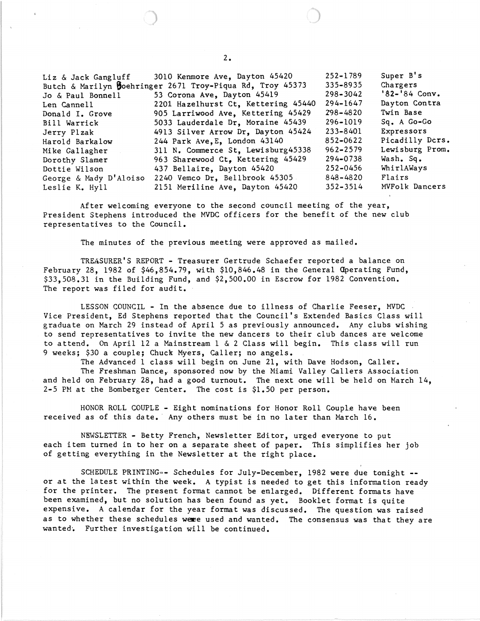Liz & Jack Gangluff 3010 Kenmore Ave, Dayton 45420 Butch & Marilyn Boehringer 2671 Troy-Piqua Rd, Troy 45373 Jo & Paul Bonnell 53 Corona Ave, Dayton 45419 Len Cannell 2201 Hazelhurst Ct, Kettering 45440 Donald I. Grove 905 Larriwood Ave, Kettering 45429 Bill Warrick 5033 Lauderdale Dr, Moraine 45439 Jerry Plzak 4913 Silver Arrow Dr, Dayton 45424 Harold Barkalow 244 Park Ave, E, London 43140 Mike Gallagher 311 N. Commerce St, Lewisburg45338 Dorothy Slamer 963 Sharewood Ct, Kettering 45429 Dottie Wilson 437 Bellaire, Dayton 45420 George & Mady D' Aloiso 2240 Vemco Dr, Bellbrook 45305 Leslie K. Hyll 2151 Meriline Ave, Dayton 45420 252-1789 335-8935 298-3042 294-1647 298-4820 296-1019 233-8401 852-0622 962-2579 294-0738 252-0456 848-4820 352-3514 Super B's Chargers '82-'84 Conv. Dayton Contra Twin Base Sq. A Go-Go Expressors Picadilly Dcrs. Lewisburg Prom. Wash. Sq. WhirlAWays Flairs MVFolk Dancers

After welcoming everyone to the second council meeting of the year, President Stephens introduced the MVDC officers for the benefit of the new club representatives to the Council.

The minutes of the previous meeting were approved as mailed.

TREASURER'S REPORT - Treasurer Gertrude Schaefer reported a balance on February 28, 1982 of \$46,854.79, with \$10,846.48 in the General Operating Fund, \$33,508.31 in the Building Fund, and \$2,500.00 in Escrow for 1982 Convention. The report was filed for audit.

LESSON COUNCIL - In the absence due to illness of Charlie Feeser, MVDC Vice President, Ed Stephens reported that the Council's Extended Basics Class will graduate on March 29 instead of April 5 as previously announced. Any clubs wishing to send representatives to invite the new dancers to their club dances are welcome to attend. On April 12 a Mainstream 1 & 2 Class will begin. This class will run 9 weeks; \$30 a couple; Chuck Myers, Caller; no angels.

The Advanced 1 class will begin on June 21, with Dave Hodson, Caller. The Freshman Dance, sponsored now by the Miami Valley Callers Association and held on February 28, had a good turnout. The next one will be held on March 14, 2-5 PM at the Bomberger Center. The cost is \$1.50 per person.

HONOR ROLL COUPLE - Eight nominations for Honor Roll Couple have been received as of this date. Any others must be in no later than March 16.

N8WSLETTER - Betty French, Newsletter Editor, urged everyone to put each item turned in to her on a separate sheet of paper. This simplifies her job of getting everything in the Newsletter at the right place.

SCHEDULE PRINTING=- Schedules for July-December, 1982 were due tonight **-** or at the latest within the week. A typist is needed to get this information ready for the printer. The present format cannot be enlarged. Different formats have been examined, but no solution has been found as yet. Booklet format is quite expensive. A calendar for the year format was discussed. The question was raised as to whether these schedules were used and wanted. The consensus was that they are wanted. Further investigation will be continued.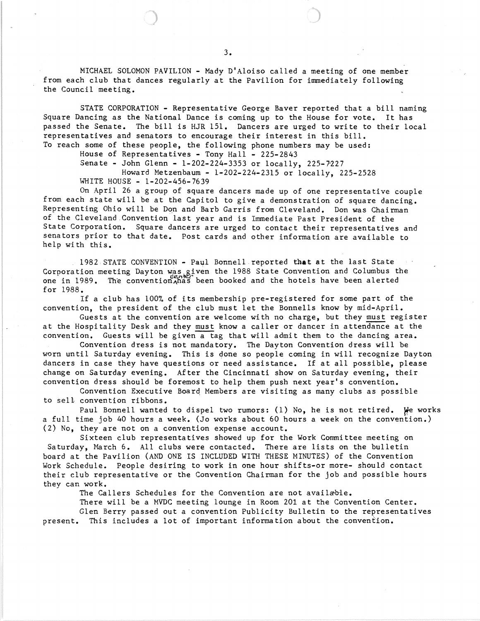MICHAEL SOLOMON PAVILION - Mady D'Aloiso called a meeting of one member from each club that dances regularly at the Pavilion for immediately following the Council meeting.

STATE CORPORATION - Representative George Baver reported that a bill naming Square Dancing as the National Dance is coming up to the House for vote. It has passed the Senate. The bill is HJR 151. Dancers are urged to write to their local representatives and senators to encourage their interest in this bill. To reach some of these people, the following phone numbers may be used:

House of Representatives - Tony Hall - 225-2843

Senate - John Glenn - 1-202-224-3353 or locally, *225-r227* 

Howard Metzenbaum - 1-202-224-2315 or locally, 225-2528 WHITE HOUSE - 1-202-456-7639

On April 26 a group of square dancers made up of one representative couple from each state will be at the Capitol to give a demonstration of square dancing. Representing Ohio will be Don and Barb Garris from Cleveland. Don was Chairman of the Cleveland ,Convention'last year and is Immediate Past President of the State Corporation. Square dancers are urged to contact their representatives and senators prior to that date. Post cards and other information are available to help with this.

1982 STATE CONVENTION - Paul Bonnell reported that at the last State Corporation meeting Dayton was given the 1988 State Convention and Columbus the one in 1989. The convention has been booked and the hotels have been alerted for 1988.

If a club has 100% of its membership pre-registered for some part of the convention, the president of the club must let the Bonnells know by mid-April.

Guests at the convention are welcome with no charge, but they must register at the Hospitality Desk and they must know a caller or dancer in attendance at the convention. Guests will be given a tag that will admit them to the dancing area.

Convention dress is not mandatory. The Dayton Convention dress will be worn until Saturday evening. This is done so people coming in will recognize Dayton dancers in case they have questions or need assistance. If at all possible, please change on Saturday evening. After the Cincinnati show on Saturday evening, their convention dress should be foremost to help them push next year's convention.

Convention Executive Boarq Members are visiting as many clubs as possible to se11 convention ribbons.

Paul Bonnell wanted to dispel two rumors: (1) No, he is not retired. We works a full time job 40 hours a week. (Jo works about 60 hours a week on the convention.) (2) No, they are not on a convention expense account.

Sixteen club representatives showed up for the Work Committee meeting on Saturday, March 6. All clubs were contacted. There are lists on the bulletin board at the Pavilion (AND ONE IS INCLUDED WITH THESE MINUTES) of the Convention Work Schedule. People desiring to work in one hour shifts-or more- should contact their club representative or the Convention Chairman for the job and possible hours they can work.

The Callers Schedules for the Convention are not availæble.

There will be a MVDC meeting lounge in Room 201 at the Convention Center. Glen Berry passed out a convention Publicity Bulletin to the representatives present. This includes a lot of important information about the convention.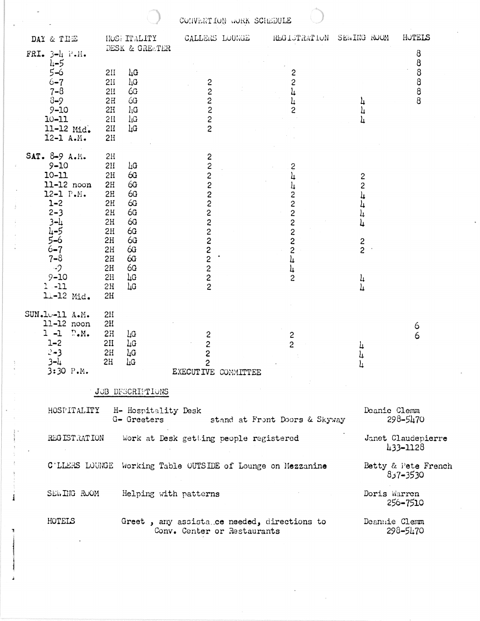|                                                                                                                                                                                                |                                                                                                                                                                                                                                     | CONVENTION WORK SCHEDULE                                                                         |                                                                                                                         |                                                               |                                                 |
|------------------------------------------------------------------------------------------------------------------------------------------------------------------------------------------------|-------------------------------------------------------------------------------------------------------------------------------------------------------------------------------------------------------------------------------------|--------------------------------------------------------------------------------------------------|-------------------------------------------------------------------------------------------------------------------------|---------------------------------------------------------------|-------------------------------------------------|
| DAY & TIME                                                                                                                                                                                     | HOSE ITALITY                                                                                                                                                                                                                        | CALLERS LOUNGE                                                                                   | REGISTRATION                                                                                                            | SEWING ROOM                                                   | HUTELS                                          |
| FRI. $3-4$ P.H.                                                                                                                                                                                | DESK & GREETER                                                                                                                                                                                                                      |                                                                                                  |                                                                                                                         |                                                               | 8                                               |
| $\mu - 5$<br>$5 - 6$<br>$6 - 7$<br>$7 - 8$<br>$3 - 9$<br>$9 - 10$<br>$10 - 11$<br>11-12 Mid.<br>12-1 A.M.                                                                                      | $\mathbf{L} \mathbf{G}$<br>2II<br>$\iota \mathfrak{g}$<br>2H<br>6G<br>2H<br>6G<br>2H<br>$l_iG$<br>2H<br>$\iota\mathfrak{c}$<br>2H<br>LG<br>2H<br>2H                                                                                 | 2<br>2<br>2<br>$\begin{array}{c}\n 2 \\ 2 \\ 2\n \end{array}$                                    | 2<br>$\overline{c}$<br>$\overline{L}$<br>4<br>$\overline{2}$                                                            |                                                               | 8<br>8<br>$\begin{array}{c} 8 \\ 8 \end{array}$ |
| SAT. 8-9 A.M.<br>$9 - 10$<br>$10 - 11$<br>$11-12$ noon<br>12-1 P.M.<br>$1 - 2$<br>$2 - 3$<br>$3 - 1$<br>$4 - 5$<br>$5 - 6$<br>$6 - 7$<br>$7 - 8$<br>$-2$<br>$9 - 10$<br>$1 - 11$<br>11-12 Mid. | 2H<br>$\mu$ G<br>2H<br>6G<br>2H<br>6G<br>2H<br>6G<br>2H<br>6G<br>2H<br>6G<br>2H<br>6G<br>2H<br>6G<br>2H<br>6G<br>2H<br>6G<br>2H<br>6G<br>2H<br>6 <sub>G</sub><br>2H<br>2H<br>$\overline{\mathsf{L}}\mathsf{G}$<br>$L_G$<br>2H<br>2H | 2<br>$\overline{c}$<br>$\overline{c}$<br>200022222<br>$\begin{array}{c} 2 \\ 2 \\ 2 \end{array}$ | 2<br>4<br>և<br>2<br>$\frac{2}{2}$<br>$\frac{2}{2}$<br>$\frac{2}{2}$<br>$\overline{\mathfrak{h}}$<br>4<br>$\overline{2}$ | 2<br>$\overline{c}$<br>4<br>4<br>4<br>$\frac{2}{2}$<br>4<br>4 |                                                 |
| SUN.10-11 A.M.<br>$11-12$ noon<br>$1 - 1$<br>$\Gamma_\bullet M_\bullet$<br>$1 - 2$<br>$2 - 3$<br>$3 - 4$<br>3:30 P.M.                                                                          | 2H<br>2H<br>2H<br>LG<br>L G<br>2H<br>$\frac{1}{4}G$<br>2H<br>LG<br>2H<br>JOB DESCRIPTIONS                                                                                                                                           | 2<br>$\overline{\mathcal{L}}$<br>$\overline{c}$<br>$\overline{c}$<br>EXECUTIVE COMMITTEE         | $\frac{2}{2}$                                                                                                           | 4                                                             | 6<br>6                                          |
| Deanie Clemm<br>HOSPITALITY<br>H- Hospitality Desk                                                                                                                                             |                                                                                                                                                                                                                                     |                                                                                                  |                                                                                                                         |                                                               |                                                 |
|                                                                                                                                                                                                | G- Greeters                                                                                                                                                                                                                         |                                                                                                  | stand at Front Doors & Skyway                                                                                           |                                                               | $298 - 5470$                                    |
| REGISTRATION                                                                                                                                                                                   |                                                                                                                                                                                                                                     | Work at Desk getting people registered                                                           |                                                                                                                         |                                                               | Janet Claudepierre<br>433-1128                  |
|                                                                                                                                                                                                |                                                                                                                                                                                                                                     | C'LLERS LOUNGE Working Table OUTSIDE of Lounge on Mezzanine                                      |                                                                                                                         |                                                               | Betty & Pete French<br>857-3530                 |
| SER. THG ROOM                                                                                                                                                                                  | Helping with patterns                                                                                                                                                                                                               |                                                                                                  |                                                                                                                         | Doris Warren                                                  | 256-7510                                        |
| HOTELS                                                                                                                                                                                         |                                                                                                                                                                                                                                     | Greet, any assistatce needed, directions to<br>Conv. Center or Restaurants                       |                                                                                                                         |                                                               | Deannie Clemm<br>298-5470                       |

 $\label{eq:2} \frac{d\mathbf{r}}{dt} = \frac{1}{2} \sum_{i=1}^n \frac{d\mathbf{r}}{dt} \mathbf{r}_i \mathbf{r}_i \mathbf{r}_i \mathbf{r}_i$ 

 $\begin{array}{c} -\frac{1}{2} \\ -\frac{1}{2} \end{array}$ 

 $\frac{1}{4}$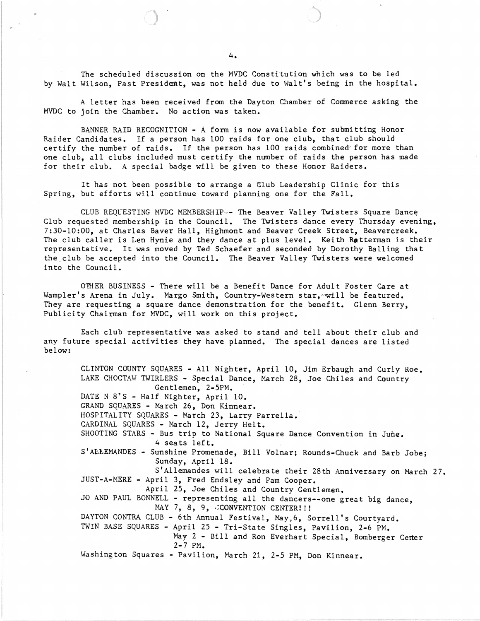The scheduled discussion on the MVDC Constitution which was to be led by Walt Wilson, Past President, was not held due to Walt's being in the hospital.

A letter has been received from the Dayton Chamber of Commerce asking the MVDC to join the Chamber. No action was taken.

BANNER RAID RECOGNITION - A form is now available for submitting Honor Raider Candidates. If a person has 100 raids for one club, that club should certify the number of raids. If the person has 100 raids combined' for more than one club, all clubs included must certify the number of raids the person has made for their club. A special badge will be given to these Honor Raiders.

It has not been possible to arrange a 61ub Leadership Clinic for this Spring, but efforts will continue toward planning one for the Fall.

CLUB REQUESTING MVDC MEMBERSHIP=- The Beaver Valley Twisters Square Dance Club requested membership in the Council. The Twisters dance every Thursday evening, 7:30-10:00, at Charles Baver Hall, Highmont and Beaver Creek Street, Beavercreek. The club caller is Len Hynie and they dance at plus level. Keith Ratterman is their representative. It was moved by Ted Schaefer and seconded by Dorothy Balling that the. club be accepted into the Council. The Beaver Valley Twisters were welcomed into the Council.

OTHER BUSINESS - There will be a Benefit Dance for Adult Foster Care at Wampler's Arena in July. Margo Smith, Country-Western star, will be featured. They are requesting a square dance demonstration for the benefit. Glenn Berry, Publicity Chairman for MVDC, will work on this project.

Each club representative was asked to stand and tell about their club and any future special activities they have planned. The special dances are listed below:

CLINTON COUNTY SQUARES - All Nighter, April 10, Jim Erbaugh and Curly Roe. LAKE CHOCTAW TWIRLERS - Special Dance, March 28, Joe Chiles and Country Gentlemen, 2-5PM. DATE N 8'S - Half Nighter, April 10. GRAND SQUARES - March 26, Don Kinnear. HOSPITALITY SQUARES - March 23, Larry Parrella. CARDINAL SQUARES - March 12, Jerry Helt. SHOOTING STARS - Bus trip to National Square Dance Convention in June. 4 seats left. S'ALLEMANDES - Sunshine Promenade, Bill Volnar; Rounds-Chuck and Barb Jobe; Sunday, April 18. S'Allemandes will celebrate their 28th Anniversary on March 27. JUST-A-MERE - April 3, Fred Endsley and Pam Cooper. April 25, Joe Chiles and Country Gentlemen. JO AND PAUL BONNELL - representing all the dancers--one great big dance, MAY 7, 8, 9,  $\cdot$  CONVENTION CENTER!!! DAYTON CONTRA CLUB - 6th Annual Festival, May, 6, Sorrell's Courtyard. TWIN BASE SQUARES - April 25 - Tri-State Singles, Pavilion, 2-6 PM. May 2 - Bill and Ron Everhart Special, Bomberger Center 2-7 PM. Washington Squares - Pavilion, March 21, 2-5 PM, Don Kinnear.